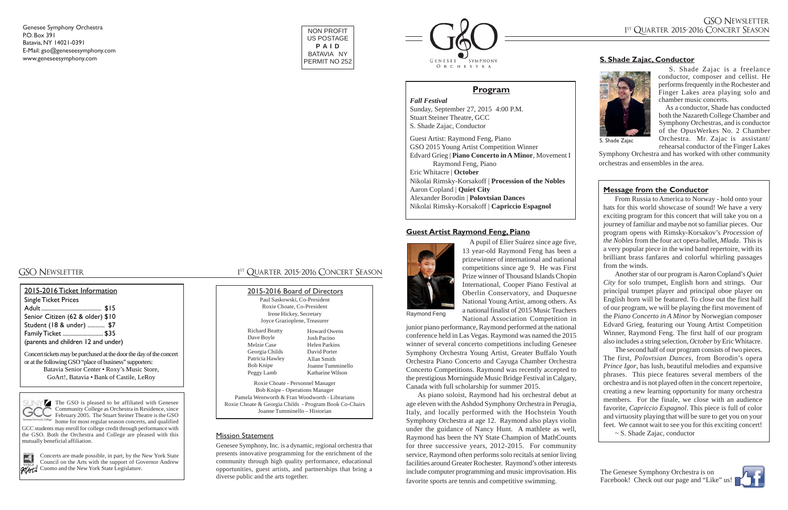### **Guest Artist Raymond Feng, Piano**



 A pupil of Elier Suárez since age five, 13 year-old Raymond Feng has been a prizewinner of international and national competitions since age 9. He was First Prize winner of Thousand Islands Chopin International, Cooper Piano Festival at Oberlin Conservatory, and Duquesne National Young Artist, among others. As a national finalist of 2015 Music Teachers National Association Competition in

junior piano performance, Raymond performed at the national conference held in Las Vegas. Raymond was named the 2015 winner of several concerto competitions including Genesee Symphony Orchestra Young Artist, Greater Buffalo Youth Orchestra Piano Concerto and Cayuga Chamber Orchestra Concerto Competitions. Raymond was recently accepted to the prestigious Morningside Music Bridge Festival in Calgary, Canada with full scholarship for summer 2015.

As piano soloist, Raymond had his orchestral debut at age eleven with the Ashdod Symphony Orchestra in Perugia, Italy, and locally performed with the Hochstein Youth Symphony Orchestra at age 12. Raymond also plays violin under the guidance of Nancy Hunt. A mathlete as well, Raymond has been the NY State Champion of MathCounts for three successive years, 2012-2015. For community service, Raymond often performs solo recitals at senior living facilities around Greater Rochester. Raymond's other interests include computer programming and music improvisation. His favorite sports are tennis and competitive swimming.

The GSO is pleased to be affiliated with Genesee Community College as Orchestra in Residence, since February 2005. The Stuart Steiner Theatre is the GSO home for most regular season concerts, and qualified

Concerts are made possible, in part, by the New York State Council on the Arts with the support of Governor Andrew **GOATL** Cuomo and the New York State Legislature.

# GSO NEWSLETTER 1<sup>ST</sup> QUARTER 2015-2016 CONCERT SEASON

### 2015-2016 Ticket Information

Single Ticket Prices Adult....................................... \$15 Senior Citizen (62 & older) \$10 Student (18 & under) ........... \$7

Family Ticket .......................... \$35

(parents and children 12 and under)

Concert tickets may be purchased at the door the day of the concert or at the following GSO "place of business" supporters: Batavia Senior Center • Roxy's Music Store, GoArt!, Batavia • Bank of Castile, LeRoy



Genesee Symphony Orchestra P.O. Box 391 Batavia, NY 14021-0391 E-Mail: gso@geneseesymphony.com www.geneseesymphony.com

### Mission Statement

Genesee Symphony, Inc. is a dynamic, regional orchestra that presents innovative programming for the enrichment of the community through high quality performance, educational opportunities, guest artists, and partnerships that bring a diverse public and the arts together.

### 2015-2016 Board of Directors

| Paul Saskowski, Co-President                           |                     |  |
|--------------------------------------------------------|---------------------|--|
| Roxie Choate, Co-President                             |                     |  |
| Irene Hickey, Secretary                                |                     |  |
| Joyce Grazioplene, Treasurer                           |                     |  |
| <b>Richard Beatty</b>                                  | <b>Howard Owens</b> |  |
| Dave Boyle                                             | <b>Josh Pacino</b>  |  |
| Melzie Case                                            | Helen Parkins       |  |
| Georgia Childs                                         | David Porter        |  |
| Patricia Hawley                                        | Allan Smith         |  |
| Bob Knipe                                              | Joanne Tumminello   |  |
| Peggy Lamb                                             | Katharine Wilson    |  |
| Roxie Choate - Personnel Manager                       |                     |  |
| <b>Bob Knipe - Operations Manager</b>                  |                     |  |
| Pamela Wentworth & Fran Woodworth - Librarians         |                     |  |
| Roxie Choate & Georgia Childs - Program Book Co-Chairs |                     |  |
| Joanne Tumminello - Historian                          |                     |  |

GCC students may enroll for college credit through performance with the GSO. Both the Orchestra and College are pleased with this mutually beneficial affiliation.



The Genesee Symphony Orchestra is on Facebook! Check out our page and "Like" us



*Fall Festival* Sunday, September 27, 2015 4:00 P.M. Stuart Steiner Theatre, GCC S. Shade Zajac, Conductor

Guest Artist: Raymond Feng, Piano GSO 2015 Young Artist Competition Winner Edvard Grieg | **Piano Concerto in A Minor**, Movement I Raymond Feng, Piano Eric Whitacre | **October** Nikolai Rimsky-Korsakoff | **Procession of the Nobles** Aaron Copland | **Quiet City** Alexander Borodin | **Polovtsian Dances** Nikolai Rimsky-Korsakoff | **Capriccio Espagnol**

## **Pr ogram**

NON PROFIT US POSTAGE P A I D BATAVIA NY PERMIT NO 252



 S. Shade Zajac is a freelance conductor, composer and cellist. He performs frequently in the Rochester and Finger Lakes area playing solo and chamber music concerts.

 As a conductor, Shade has conducted both the Nazareth College Chamber and Symphony Orchestras, and is conductor of the OpusWerkes No. 2 Chamber Orchestra. Mr. Zajac is assistant/ rehearsal conductor of the Finger Lakes

Symphony Orchestra and has worked with other community orchestras and ensembles in the area.



S. Shade Zajac

# **S. Shade Zajac, Conductor**

From Russia to America to Norway - hold onto your hats for this world showcase of sound! We have a very exciting program for this concert that will take you on a journey of familiar and maybe not so familiar pieces. Our program opens with Rimsky-Korsakov's *Procession of the Nobles* from the four act opera-ballet, *Mlada*. This is a very popular piece in the wind band repertoire, with its brilliant brass fanfares and colorful whirling passages from the winds.

Another star of our program is Aaron Copland's *Quiet City* for solo trumpet, English horn and strings. Our principal trumpet player and principal oboe player on English horn will be featured. To close out the first half of our program, we will be playing the first movement of the *Piano Concerto in A Minor* by Norwegian composer Edvard Grieg, featuring our Young Artist Competition Winner, Raymond Feng. The first half of our program also includes a string selection, *October* by Eric Whitacre.

The second half of our program consists of two pieces. The first, *Polovtsian Dances,* from Borodin's opera *Prince Igor*, has lush, beautiful melodies and expansive phrases. This piece features several members of the orchestra and is not played often in the concert repertoire, creating a new learning opportunity for many orchestra members. For the finale, we close with an audience favorite, *Capriccio Espagnol*. This piece is full of color and virtuosity playing that will be sure to get you on your feet. We cannot wait to see you for this exciting concert! ~ S. Shade Zajac, conductor

# **Messa ge from the Conductor**

Raymond Feng